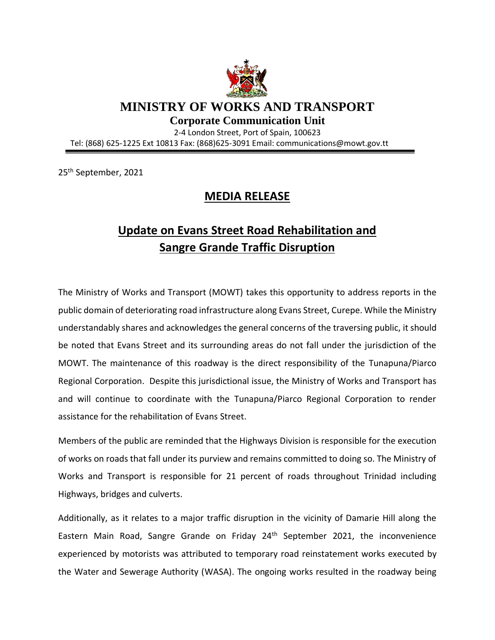

**MINISTRY OF WORKS AND TRANSPORT**

**Corporate Communication Unit**

2-4 London Street, Port of Spain, 100623 Tel: (868) 625-1225 Ext 10813 Fax: (868)625-3091 Email: communications@mowt.gov.tt

25th September, 2021

## **MEDIA RELEASE**

## **Update on Evans Street Road Rehabilitation and Sangre Grande Traffic Disruption**

The Ministry of Works and Transport (MOWT) takes this opportunity to address reports in the public domain of deteriorating road infrastructure along Evans Street, Curepe. While the Ministry understandably shares and acknowledges the general concerns of the traversing public, it should be noted that Evans Street and its surrounding areas do not fall under the jurisdiction of the MOWT. The maintenance of this roadway is the direct responsibility of the Tunapuna/Piarco Regional Corporation. Despite this jurisdictional issue, the Ministry of Works and Transport has and will continue to coordinate with the Tunapuna/Piarco Regional Corporation to render assistance for the rehabilitation of Evans Street.

Members of the public are reminded that the Highways Division is responsible for the execution of works on roads that fall under its purview and remains committed to doing so. The Ministry of Works and Transport is responsible for 21 percent of roads throughout Trinidad including Highways, bridges and culverts.

Additionally, as it relates to a major traffic disruption in the vicinity of Damarie Hill along the Eastern Main Road, Sangre Grande on Friday 24<sup>th</sup> September 2021, the inconvenience experienced by motorists was attributed to temporary road reinstatement works executed by the Water and Sewerage Authority (WASA). The ongoing works resulted in the roadway being